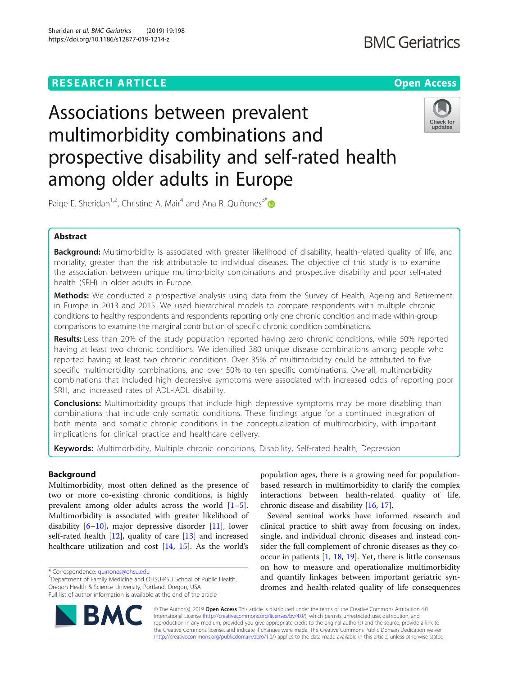# **RESEARCH ARTICLE Example 2018 12:30 THE Open Access**

# Associations between prevalent multimorbidity combinations and prospective disability and self-rated health among older adults in Europe



Paige E. Sheridan<sup>1,2</sup>, Christine A. Mair<sup>4</sup> and Ana R. Quiñones<sup>3[\\*](http://orcid.org/0000-0001-6554-7734)</sup>

# Abstract

Background: Multimorbidity is associated with greater likelihood of disability, health-related quality of life, and mortality, greater than the risk attributable to individual diseases. The objective of this study is to examine the association between unique multimorbidity combinations and prospective disability and poor self-rated health (SRH) in older adults in Europe.

Methods: We conducted a prospective analysis using data from the Survey of Health, Ageing and Retirement in Europe in 2013 and 2015. We used hierarchical models to compare respondents with multiple chronic conditions to healthy respondents and respondents reporting only one chronic condition and made within-group comparisons to examine the marginal contribution of specific chronic condition combinations.

Results: Less than 20% of the study population reported having zero chronic conditions, while 50% reported having at least two chronic conditions. We identified 380 unique disease combinations among people who reported having at least two chronic conditions. Over 35% of multimorbidity could be attributed to five specific multimorbidity combinations, and over 50% to ten specific combinations. Overall, multimorbidity combinations that included high depressive symptoms were associated with increased odds of reporting poor SRH, and increased rates of ADL-IADL disability.

**Conclusions:** Multimorbidity groups that include high depressive symptoms may be more disabling than combinations that include only somatic conditions. These findings argue for a continued integration of both mental and somatic chronic conditions in the conceptualization of multimorbidity, with important implications for clinical practice and healthcare delivery.

Keywords: Multimorbidity, Multiple chronic conditions, Disability, Self-rated health, Depression

# Background

Multimorbidity, most often defined as the presence of two or more co-existing chronic conditions, is highly prevalent among older adults across the world [\[1](#page-8-0)–[5](#page-8-0)]. Multimorbidity is associated with greater likelihood of disability [[6](#page-8-0)–[10](#page-8-0)], major depressive disorder [\[11\]](#page-8-0), lower self-rated health [[12](#page-8-0)], quality of care [[13](#page-8-0)] and increased healthcare utilization and cost [[14,](#page-8-0) [15](#page-8-0)]. As the world's

BA



Several seminal works have informed research and clinical practice to shift away from focusing on index, single, and individual chronic diseases and instead consider the full complement of chronic diseases as they cooccur in patients [\[1,](#page-8-0) [18,](#page-8-0) [19\]](#page-8-0). Yet, there is little consensus on how to measure and operationalize multimorbidity and quantify linkages between important geriatric syndromes and health-related quality of life consequences

© The Author(s). 2019 **Open Access** This article is distributed under the terms of the Creative Commons Attribution 4.0 International License [\(http://creativecommons.org/licenses/by/4.0/](http://creativecommons.org/licenses/by/4.0/)), which permits unrestricted use, distribution, and reproduction in any medium, provided you give appropriate credit to the original author(s) and the source, provide a link to the Creative Commons license, and indicate if changes were made. The Creative Commons Public Domain Dedication waiver [\(http://creativecommons.org/publicdomain/zero/1.0/](http://creativecommons.org/publicdomain/zero/1.0/)) applies to the data made available in this article, unless otherwise stated.

<sup>\*</sup> Correspondence: [quinones@ohsu.edu](mailto:quinones@ohsu.edu) <sup>3</sup>

<sup>&</sup>lt;sup>3</sup>Department of Family Medicine and OHSU-PSU School of Public Health, Oregon Health & Science University, Portland, Oregon, USA Full list of author information is available at the end of the article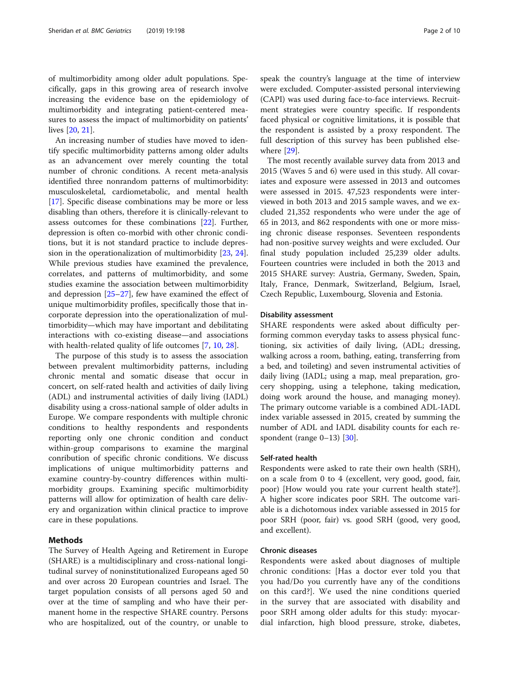of multimorbidity among older adult populations. Specifically, gaps in this growing area of research involve increasing the evidence base on the epidemiology of multimorbidity and integrating patient-centered measures to assess the impact of multimorbidity on patients' lives [[20](#page-8-0), [21](#page-8-0)].

An increasing number of studies have moved to identify specific multimorbidity patterns among older adults as an advancement over merely counting the total number of chronic conditions. A recent meta-analysis identified three nonrandom patterns of multimorbidity: musculoskeletal, cardiometabolic, and mental health [[17\]](#page-8-0). Specific disease combinations may be more or less disabling than others, therefore it is clinically-relevant to assess outcomes for these combinations [[22\]](#page-8-0). Further, depression is often co-morbid with other chronic conditions, but it is not standard practice to include depression in the operationalization of multimorbidity [\[23](#page-8-0), [24](#page-9-0)]. While previous studies have examined the prevalence, correlates, and patterns of multimorbidity, and some studies examine the association between multimorbidity and depression [[25](#page-9-0)–[27\]](#page-9-0), few have examined the effect of unique multimorbidity profiles, specifically those that incorporate depression into the operationalization of multimorbidity—which may have important and debilitating interactions with co-existing disease—and associations with health-related quality of life outcomes [\[7](#page-8-0), [10](#page-8-0), [28](#page-9-0)].

The purpose of this study is to assess the association between prevalent multimorbidity patterns, including chronic mental and somatic disease that occur in concert, on self-rated health and activities of daily living (ADL) and instrumental activities of daily living (IADL) disability using a cross-national sample of older adults in Europe. We compare respondents with multiple chronic conditions to healthy respondents and respondents reporting only one chronic condition and conduct within-group comparisons to examine the marginal conribution of specific chronic conditions. We discuss implications of unique multimorbidity patterns and examine country-by-country differences within multimorbidity groups. Examining specific multimorbidity patterns will allow for optimization of health care delivery and organization within clinical practice to improve care in these populations.

# Methods

The Survey of Health Ageing and Retirement in Europe (SHARE) is a multidisciplinary and cross-national longitudinal survey of noninstitutionalized Europeans aged 50 and over across 20 European countries and Israel. The target population consists of all persons aged 50 and over at the time of sampling and who have their permanent home in the respective SHARE country. Persons who are hospitalized, out of the country, or unable to speak the country's language at the time of interview were excluded. Computer-assisted personal interviewing (CAPI) was used during face-to-face interviews. Recruitment strategies were country specific. If respondents faced physical or cognitive limitations, it is possible that the respondent is assisted by a proxy respondent. The full description of this survey has been published elsewhere [\[29](#page-9-0)].

The most recently available survey data from 2013 and 2015 (Waves 5 and 6) were used in this study. All covariates and exposure were assessed in 2013 and outcomes were assessed in 2015. 47,523 respondents were interviewed in both 2013 and 2015 sample waves, and we excluded 21,352 respondents who were under the age of 65 in 2013, and 862 respondents with one or more missing chronic disease responses. Seventeen respondents had non-positive survey weights and were excluded. Our final study population included 25,239 older adults. Fourteen countries were included in both the 2013 and 2015 SHARE survey: Austria, Germany, Sweden, Spain, Italy, France, Denmark, Switzerland, Belgium, Israel, Czech Republic, Luxembourg, Slovenia and Estonia.

# Disability assessment

SHARE respondents were asked about difficulty performing common everyday tasks to assess physical functioning, six activities of daily living, (ADL; dressing, walking across a room, bathing, eating, transferring from a bed, and toileting) and seven instrumental activities of daily living (IADL; using a map, meal preparation, grocery shopping, using a telephone, taking medication, doing work around the house, and managing money). The primary outcome variable is a combined ADL-IADL index variable assessed in 2015, created by summing the number of ADL and IADL disability counts for each re-spondent (range 0–13) [\[30\]](#page-9-0).

# Self-rated health

Respondents were asked to rate their own health (SRH), on a scale from 0 to 4 (excellent, very good, good, fair, poor) [How would you rate your current health state?]. A higher score indicates poor SRH. The outcome variable is a dichotomous index variable assessed in 2015 for poor SRH (poor, fair) vs. good SRH (good, very good, and excellent).

# Chronic diseases

Respondents were asked about diagnoses of multiple chronic conditions: [Has a doctor ever told you that you had/Do you currently have any of the conditions on this card?]. We used the nine conditions queried in the survey that are associated with disability and poor SRH among older adults for this study: myocardial infarction, high blood pressure, stroke, diabetes,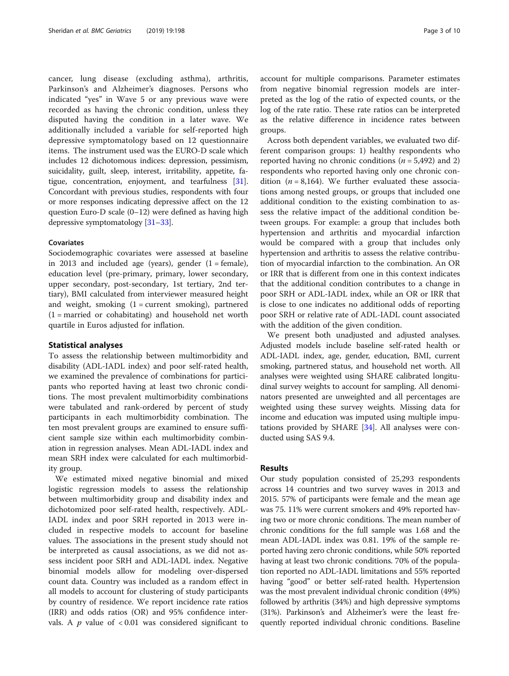cancer, lung disease (excluding asthma), arthritis, Parkinson's and Alzheimer's diagnoses. Persons who indicated "yes" in Wave 5 or any previous wave were recorded as having the chronic condition, unless they disputed having the condition in a later wave. We additionally included a variable for self-reported high depressive symptomatology based on 12 questionnaire items. The instrument used was the EURO-D scale which includes 12 dichotomous indices: depression, pessimism, suicidality, guilt, sleep, interest, irritability, appetite, fatigue, concentration, enjoyment, and tearfulness [[31](#page-9-0)]. Concordant with previous studies, respondents with four or more responses indicating depressive affect on the 12 question Euro-D scale (0–12) were defined as having high depressive symptomatology [\[31](#page-9-0)–[33](#page-9-0)].

# Covariates

Sociodemographic covariates were assessed at baseline in 2013 and included age (years), gender  $(1 = \text{female})$ , education level (pre-primary, primary, lower secondary, upper secondary, post-secondary, 1st tertiary, 2nd tertiary), BMI calculated from interviewer measured height and weight, smoking  $(1 = current$  smoking), partnered  $(1 =$  married or cohabitating) and household net worth quartile in Euros adjusted for inflation.

# Statistical analyses

To assess the relationship between multimorbidity and disability (ADL-IADL index) and poor self-rated health, we examined the prevalence of combinations for participants who reported having at least two chronic conditions. The most prevalent multimorbidity combinations were tabulated and rank-ordered by percent of study participants in each multimorbidity combination. The ten most prevalent groups are examined to ensure sufficient sample size within each multimorbidity combination in regression analyses. Mean ADL-IADL index and mean SRH index were calculated for each multimorbidity group.

We estimated mixed negative binomial and mixed logistic regression models to assess the relationship between multimorbidity group and disability index and dichotomized poor self-rated health, respectively. ADL-IADL index and poor SRH reported in 2013 were included in respective models to account for baseline values. The associations in the present study should not be interpreted as causal associations, as we did not assess incident poor SRH and ADL-IADL index. Negative binomial models allow for modeling over-dispersed count data. Country was included as a random effect in all models to account for clustering of study participants by country of residence. We report incidence rate ratios (IRR) and odds ratios (OR) and 95% confidence intervals. A  $p$  value of  $< 0.01$  was considered significant to account for multiple comparisons. Parameter estimates from negative binomial regression models are interpreted as the log of the ratio of expected counts, or the log of the rate ratio. These rate ratios can be interpreted as the relative difference in incidence rates between groups.

Across both dependent variables, we evaluated two different comparison groups: 1) healthy respondents who reported having no chronic conditions ( $n = 5,492$ ) and 2) respondents who reported having only one chronic condition ( $n = 8,164$ ). We further evaluated these associations among nested groups, or groups that included one additional condition to the existing combination to assess the relative impact of the additional condition between groups. For example: a group that includes both hypertension and arthritis and myocardial infarction would be compared with a group that includes only hypertension and arthritis to assess the relative contribution of myocardial infarction to the combination. An OR or IRR that is different from one in this context indicates that the additional condition contributes to a change in poor SRH or ADL-IADL index, while an OR or IRR that is close to one indicates no additional odds of reporting poor SRH or relative rate of ADL-IADL count associated with the addition of the given condition.

We present both unadjusted and adjusted analyses. Adjusted models include baseline self-rated health or ADL-IADL index, age, gender, education, BMI, current smoking, partnered status, and household net worth. All analyses were weighted using SHARE calibrated longitudinal survey weights to account for sampling. All denominators presented are unweighted and all percentages are weighted using these survey weights. Missing data for income and education was imputed using multiple imputations provided by SHARE [\[34\]](#page-9-0). All analyses were conducted using SAS 9.4.

# Results

Our study population consisted of 25,293 respondents across 14 countries and two survey waves in 2013 and 2015. 57% of participants were female and the mean age was 75. 11% were current smokers and 49% reported having two or more chronic conditions. The mean number of chronic conditions for the full sample was 1.68 and the mean ADL-IADL index was 0.81. 19% of the sample reported having zero chronic conditions, while 50% reported having at least two chronic conditions. 70% of the population reported no ADL-IADL limitations and 55% reported having "good" or better self-rated health. Hypertension was the most prevalent individual chronic condition (49%) followed by arthritis (34%) and high depressive symptoms (31%). Parkinson's and Alzheimer's were the least frequently reported individual chronic conditions. Baseline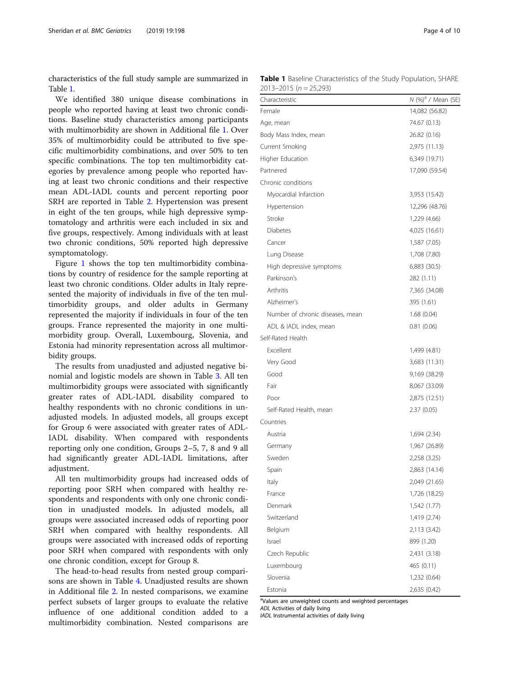characteristics of the full study sample are summarized in Table 1.

We identified 380 unique disease combinations in people who reported having at least two chronic conditions. Baseline study characteristics among participants with multimorbidity are shown in Additional file [1](#page-8-0). Over 35% of multimorbidity could be attributed to five specific multimorbidity combinations, and over 50% to ten specific combinations. The top ten multimorbidity categories by prevalence among people who reported having at least two chronic conditions and their respective mean ADL-IADL counts and percent reporting poor SRH are reported in Table [2.](#page-4-0) Hypertension was present in eight of the ten groups, while high depressive symptomatology and arthritis were each included in six and five groups, respectively. Among individuals with at least two chronic conditions, 50% reported high depressive symptomatology.

Figure [1](#page-4-0) shows the top ten multimorbidity combinations by country of residence for the sample reporting at least two chronic conditions. Older adults in Italy represented the majority of individuals in five of the ten multimorbidity groups, and older adults in Germany represented the majority if individuals in four of the ten groups. France represented the majority in one multimorbidity group. Overall, Luxembourg, Slovenia, and Estonia had minority representation across all multimorbidity groups.

The results from unadjusted and adjusted negative binomial and logistic models are shown in Table [3](#page-5-0). All ten multimorbidity groups were associated with significantly greater rates of ADL-IADL disability compared to healthy respondents with no chronic conditions in unadjusted models. In adjusted models, all groups except for Group 6 were associated with greater rates of ADL-IADL disability. When compared with respondents reporting only one condition, Groups 2–5, 7, 8 and 9 all had significantly greater ADL-IADL limitations, after adjustment.

All ten multimorbidity groups had increased odds of reporting poor SRH when compared with healthy respondents and respondents with only one chronic condition in unadjusted models. In adjusted models, all groups were associated increased odds of reporting poor SRH when compared with healthy respondents. All groups were associated with increased odds of reporting poor SRH when compared with respondents with only one chronic condition, except for Group 8.

The head-to-head results from nested group comparisons are shown in Table [4.](#page-6-0) Unadjusted results are shown in Additional file [2.](#page-8-0) In nested comparisons, we examine perfect subsets of larger groups to evaluate the relative influence of one additional condition added to a multimorbidity combination. Nested comparisons are

Table 1 Baseline Characteristics of the Study Population, SHARE  $2013 - 2015$  (n = 25,293)

| Characteristic                   | N (%) <sup>a</sup> / Mean (SE) |
|----------------------------------|--------------------------------|
| Female                           | 14,082 (56.82)                 |
| Age, mean                        | 74.67 (0.13)                   |
| Body Mass Index, mean            | 26.82 (0.16)                   |
| Current Smoking                  | 2,975 (11.13)                  |
| Higher Education                 | 6,349 (19.71)                  |
| Partnered                        | 17,090 (59.54)                 |
| Chronic conditions               |                                |
| Myocardial Infarction            | 3,953 (15.42)                  |
| Hypertension                     | 12,296 (48.76)                 |
| Stroke                           | 1,229 (4.66)                   |
| <b>Diabetes</b>                  | 4,025 (16.61)                  |
| Cancer                           | 1,587 (7.05)                   |
| Lung Disease                     | 1,708 (7.80)                   |
| High depressive symptoms         | 6,883 (30.5)                   |
| Parkinson's                      | 282 (1.11)                     |
| Arthritis                        | 7,365 (34.08)                  |
| Alzheimer's                      | 395 (1.61)                     |
| Number of chronic diseases, mean | 1.68(0.04)                     |
| ADL & IADL index, mean           | 0.81(0.06)                     |
| Self-Rated Health                |                                |
| Excellent                        | 1,499 (4.81)                   |
| Very Good                        | 3,683 (11.31)                  |
| Good                             | 9,169 (38.29)                  |
| Fair                             | 8,067 (33.09)                  |
| Poor                             | 2,875 (12.51)                  |
| Self-Rated Health, mean          | 2.37(0.05)                     |
| Countries                        |                                |
| Austria                          | 1,694 (2.34)                   |
| Germany                          | 1,967 (26.89)                  |
| Sweden                           | 2,258 (3.25)                   |
| Spain                            | 2,863 (14.14)                  |
| Italy                            | 2,049 (21.65)                  |
| France                           | 1,726 (18.25)                  |
| Denmark                          | 1,542 (1.77)                   |
| Switzerland                      | 1,419 (2.74)                   |
| Belgium                          | 2,113 (3.42)                   |
| Israel                           | 899 (1.20)                     |
| Czech Republic                   | 2,431 (3.18)                   |
| Luxembourg                       | 465 (0.11)                     |
| Slovenia                         | 1,232 (0.64)                   |
| Estonia                          | 2,635 (0.42)                   |

<sup>a</sup>Values are unweighted counts and weighted percentages

ADL Activities of daily living

IADL Instrumental activities of daily living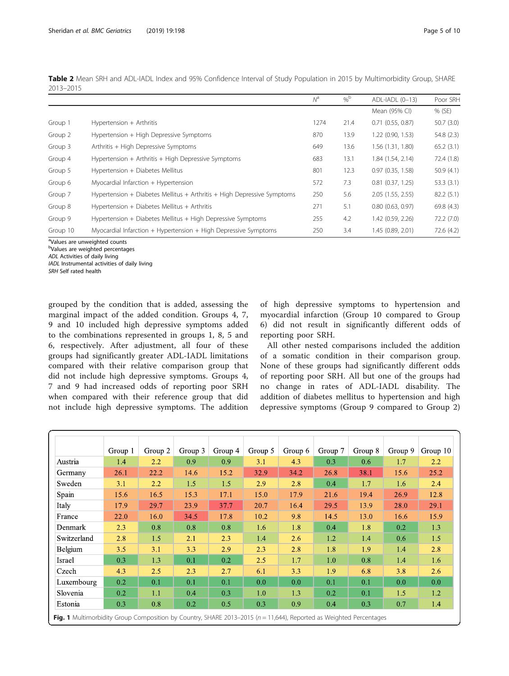| 2013-2015 | <b>TWILE A</b> MICALI JIM FORD THE THE THEORY OF SUCCITED THE MICRO OF JUDGY FODDICION IN ZOTJ DY MORTHOLOGICY SHOUD, JIM MIL |                            |         |                  |           |
|-----------|-------------------------------------------------------------------------------------------------------------------------------|----------------------------|---------|------------------|-----------|
|           |                                                                                                                               | $\mathcal{N}^{\mathsf{d}}$ | $0/2^D$ | ADL-IADL (0-13)  | Poor SRH  |
|           |                                                                                                                               |                            |         | Mean (95% CI)    | % (SE)    |
| Group 1   | Hypertension + Arthritis                                                                                                      | 1274                       | 21.4    | 0.71(0.55, 0.87) | 50.7(3.0) |

Group 2 Hypertension + High Depressive Symptoms 870 870 13.9 1.22 (0.90, 1.53) 54.8 (2.3) Group 3 Arthritis + High Depressive Symptoms 649 65.2 (3.1) 649 65.2 (3.1) Group 4 Hypertension + Arthritis + High Depressive Symptoms 683 13.1 1.84 (1.54, 2.14) 72.4 (1.8) Group 5 Hypertension + Diabetes Mellitus 801 12.3 0.97 (0.35, 1.58) 50.9 (4.1) Group 6 Myocardial Infarction + Hypertension 572 7.3 0.81 (0.37, 1.25) 53.3 (3.1) Group 7 Hypertension + Diabetes Mellitus + Arthritis + High Depressive Symptoms 250 5.6 2.05 (1.55, 2.55) 82.2 (5.1) Group 8 Hypertension + Diabetes Mellitus + Arthritis 271 5.1 0.80 (0.63, 0.97) 69.8 (4.3) Group 9 Hypertension + Diabetes Mellitus + High Depressive Symptoms 255 4.2 1.42 (0.59, 2.26) 72.2 (7.0) Group 10 Myocardial Infarction + Hypertension + High Depressive Symptoms 250 3.4 1.45 (0.89, 2.01) 72.6 (4.2)

<span id="page-4-0"></span>Table 2 Mean SRH and ADL-IADL Index and 95% Confidence Interval of Study Population in 2015 by Multimorbidity Group, SHARE

<sup>a</sup>Values are unweighted counts

<sup>b</sup>Values are weighted percentages

ADL Activities of daily living

IADL Instrumental activities of daily living

SRH Self rated health

grouped by the condition that is added, assessing the marginal impact of the added condition. Groups 4, 7, 9 and 10 included high depressive symptoms added to the combinations represented in groups 1, 8, 5 and 6, respectively. After adjustment, all four of these groups had significantly greater ADL-IADL limitations compared with their relative comparison group that did not include high depressive symptoms. Groups 4, 7 and 9 had increased odds of reporting poor SRH when compared with their reference group that did not include high depressive symptoms. The addition

of high depressive symptoms to hypertension and myocardial infarction (Group 10 compared to Group 6) did not result in significantly different odds of reporting poor SRH.

All other nested comparisons included the addition of a somatic condition in their comparison group. None of these groups had significantly different odds of reporting poor SRH. All but one of the groups had no change in rates of ADL-IADL disability. The addition of diabetes mellitus to hypertension and high depressive symptoms (Group 9 compared to Group 2)

|             | Group 1 | Group 2 | Group 3 | Group 4 | Group 5 | Group 6 | Group 7 | Group 8 | Group 9 | Group 10 |
|-------------|---------|---------|---------|---------|---------|---------|---------|---------|---------|----------|
| Austria     | 1.4     | 2.2     | 0.9     | 0.9     | 3.1     | 4.3     | 0.3     | 0.6     | 1.7     | 2.2      |
| Germany     | 26.1    | 22.2    | 14.6    | 15.2    | 32.9    | 34.2    | 26.8    | 38.1    | 15.6    | 25.2     |
| Sweden      | 3.1     | 2.2     | 1.5     | 1.5     | 2.9     | 2.8     | 0.4     | 1.7     | 1.6     | 2.4      |
| Spain       | 15.6    | 16.5    | 15.3    | 17.1    | 15.0    | 17.9    | 21.6    | 19.4    | 26.9    | 12.8     |
| Italy       | 17.9    | 29.7    | 23.9    | 37.7    | 20.7    | 16.4    | 29.5    | 13.9    | 28.0    | 29.1     |
| France      | 22.0    | 16.0    | 34.5    | 17.8    | 10.2    | 9.8     | 14.5    | 13.0    | 16.6    | 15.9     |
| Denmark     | 2.3     | 0.8     | 0.8     | 0.8     | 1.6     | 1.8     | 0.4     | 1.8     | 0.2     | 1.3      |
| Switzerland | 2.8     | 1.5     | 2.1     | 2.3     | 1.4     | 2.6     | 1.2     | 1.4     | 0.6     | 1.5      |
| Belgium     | 3.5     | 3.1     | 3.3     | 2.9     | 2.3     | 2.8     | 1.8     | 1.9     | 1.4     | 2.8      |
| Israel      | 0.3     | 1.3     | 0.1     | 0.2     | 2.5     | 1.7     | 1.0     | 0.8     | 1.4     | 1.6      |
| Czech       | 4.3     | 2.5     | 2.3     | 2.7     | 6.1     | 3.3     | 1.9     | 6.8     | 3.8     | 2.6      |
| Luxembourg  | 0.2     | 0.1     | 0.1     | 0.1     | 0.0     | 0.0     | 0.1     | 0.1     | 0.0     | 0.0      |
| Slovenia    | 0.2     | 1.1     | 0.4     | 0.3     | 1.0     | 1.3     | 0.2     | 0.1     | 1.5     | 1.2      |
| Estonia     | 0.3     | 0.8     | 0.2     | 0.5     | 0.3     | 0.9     | 0.4     | 0.3     | 0.7     | 1.4      |

**Fig. 1** Multimorbidity Group Composition by Country, SHARE 2013–2015 (n = 11,644), Reported as Weighted Percentages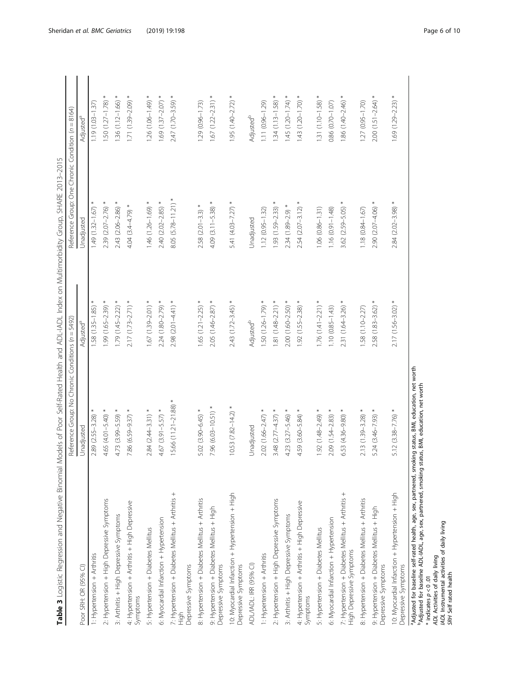| I<br>ׅ֖ׅׅׅ֧ׅ֖֖ׅ֖֧֖֧֚֚֚֚֚֚֚֚֚֚֚֚֚֚֚֚֚֚֚֚֚֚֚֚֚֚֚֚֚֚֡֡֡֡֡֡֬֝֝֝֝֝֝֓֞֝ |
|-------------------------------------------------------------------|
| í                                                                 |
| Į<br>ļ                                                            |
|                                                                   |
| Į                                                                 |
| J<br>İ<br>Ì<br>l<br>١                                             |
| ſ                                                                 |
| ī<br>)                                                            |
| $\overline{\phantom{a}}$                                          |
| Ò<br>I<br>١                                                       |
|                                                                   |
| í<br>ı<br>٢                                                       |
| Į<br>֕                                                            |
| I<br>i<br>i                                                       |
| j                                                                 |
| Š                                                                 |
|                                                                   |
| l<br>í                                                            |
| ł<br>Ï<br>5<br>i                                                  |
| ł                                                                 |
| J<br>j<br>l                                                       |
| d<br>ľ                                                            |
| J<br>I<br>١                                                       |
| d                                                                 |
| ₹<br>ļ<br>ā<br>۱                                                  |
|                                                                   |
| z<br>١                                                            |
| ì<br>ł<br>1<br>1                                                  |
| ֖֚֚֬֕<br>l<br>ă<br>J                                              |
| ï<br>j                                                            |
| ١<br>J                                                            |
| i<br>J<br>Ó<br>١                                                  |
| ļ<br>ł                                                            |
| ł<br>Ï<br>١                                                       |
| ١                                                                 |
| i<br>í<br>Ì                                                       |
| ١<br>i                                                            |
| é                                                                 |
| Ś<br>Ì<br>l                                                       |
| Í<br>١                                                            |
| ¢                                                                 |
| i<br>Y<br>١                                                       |
| 5                                                                 |
| j<br>٦<br>j<br>i<br>5<br>١                                        |
| à<br>J<br>$\frac{1}{2}$<br>i<br>ź                                 |
| RUK<br>Ž                                                          |
| 3                                                                 |
|                                                                   |
|                                                                   |
| ł<br>i<br>l                                                       |
|                                                                   |
|                                                                   |
| i<br>١<br>j<br>l                                                  |
| Ì<br>ı                                                            |
|                                                                   |
| Ò<br>1                                                            |
| c<br>i                                                            |
|                                                                   |

|                                                                                                                      | Reference Group: No Chronic Conditions (n = 5492) |                          | Reference Group: One Chronic Condition (n = 8164) |                        |
|----------------------------------------------------------------------------------------------------------------------|---------------------------------------------------|--------------------------|---------------------------------------------------|------------------------|
| Poor SRH: OR (95% CI)                                                                                                | Unadjusted                                        | Adjusted <sup>a</sup>    | Unadjusted                                        | Adjusted <sup>a</sup>  |
| 1: Hypertension + Arthritis                                                                                          | 2.89 (2.55-3.28)                                  | 1.58 (1.35-1.85)         | 1.49 (1.32-1.67)                                  | $1.19(1.03 - 1.37)$    |
| 2: Hypertension + High Depressive Symptoms                                                                           | 4.65 (4.01-5.40) *                                | 99 (1.65-2.39) *         | 2.39 (2.07-2.76) *                                | $.50(1.27 - 1.78)$     |
| 3: Arthritis + High Depressive Symptoms                                                                              | 4.73 (3.99-5.59)                                  | $1.79(1.45-2.22)$ *      | $2.43(2.06 - 2.86)$                               | $1.36(1.12 - 1.66)$    |
| 4: Hypertension + Arthritis + High Depressive<br>Symptoms                                                            | 7.86 (6.59-9.37) *                                | $2.17$ (1.73-2.71) *     | $4.04(3.4 - 4.79)$ *                              | $1.71(1.39 - 2.09)$ *  |
| 5: Hypertension + Diabetes Mellitus                                                                                  | $2.84(2.44-3.31)$ *                               | $1.67(1.39 - 2.01)*$     | $1.46$ (1.26-1.69) *                              | $1.26$ (1.06-1.49) *   |
| 6: Myocardial Infarction + Hypertension                                                                              | $4.67(3.91 - 5.57)$ *                             | $2.24$ (1.80-2.79) *     | 2.40 (2.02-2.85)                                  | $1.69$ (1.37-2.07) *   |
| 7: Hypertension + Diabetes Mellitus + Arthritis +<br>Depressive Symptoms                                             | 15.66 (11.21-21.88)                               | $2.98$ $(2.01 - 4.41)$ * | $8.05$ (5.78-11.21) *                             | 2.47 (1.70-3.59) *     |
| 8: Hypertension + Diabetes Mellitus + Arthritis                                                                      | 5.02 (3.90-6.45) *                                | $1.65$ (1.21-2.25) *     | $2.58$ $(2.01 - 3.3)$                             | $1.29(0.96 - 1.73)$    |
| 9: Hypertension + Diabetes Mellitus + High<br>Depressive Symptoms                                                    | $7.96(6.03 - 10.51)$                              | $2.05$ (1.46-2.87) *     | $\ast$<br>4.09 (3.11-5.38)                        | $1.67$ $(1.22 - 2.31)$ |
| 10: Myocardial Infarction + Hypertension + High<br>Depressive Symptoms                                               | $10.53 (7.82 - 14.2)$ *                           | $2.43$ (1.72-3.45) *     | 5.41 $(4.03 - 7.27)$ *                            | $1.95(1.40-2.72)$ *    |
| ADL/IADL: IRR (95% CI)                                                                                               | Unadjusted                                        | Adjusted <sup>b</sup>    | Unadjusted                                        | Adjusted <sup>b</sup>  |
| 1: Hypertension + Arthritis                                                                                          | 2.02 (1.66-2.47)                                  | 50 (1.26-1.79)           | $1.12(0.95 - 1.32)$                               | $1.11(0.96 - 1.29)$    |
| 2: Hypertension + High Depressive Symptoms                                                                           | $3.48(2.77 - 4.37)$                               | $1.81(1.48 - 2.21)$ *    | 1.93 (1.59-2.33)                                  | $.34(1.13 - 1.58)$     |
| 3: Arthritis + High Depressive Symptoms                                                                              | 4.23 (3.27-5.46)                                  | $2.00(1.60-2.50)$ *      | 2.34 (1.89-2.9)                                   | $1.45(1.20 - 1.74)$ *  |
| 4: Hypertension + Arthritis + High Depressive<br>Symptoms                                                            | $4.59(3.60 - 5.84)$ *                             | 1.92 (1.55-2.38) *       | $2.54(2.07 - 3.12)$                               | $1.43(1.20 - 1.70)*$   |
| 5: Hypertension + Diabetes Mellitus                                                                                  | $1.92(1.48 - 2.49)$ *                             | $1.76$ (1.41-2.21) *     | $1.06$ $(0.86 - 1.31)$                            | $1.31(1.10-1.58)*$     |
| 6: Myocardial Infarction + Hypertension                                                                              | 2.09 (1.54-2.83)                                  | $1.10(0.85 - 1.43)$      | $1.16(0.91 - 1.48)$                               | 0.86 (0.70-1.07)       |
| 7: Hypertension + Diabetes Mellitus + Arthritis +<br>High Depressive Symptoms                                        | $6.53(4.36 - 9.80)*$                              | $2.31(1.64 - 3.26)$ *    | 3.62 (2.59-5.05)                                  | $1.86$ (1.40-2.46) *   |
| 8: Hypertension + Diabetes Mellitus + Arthritis                                                                      | $2.13(1.39 - 3.28)$ *                             | 1.58 (1.10-2.27)         | $1.18(0.84 - 1.67)$                               | 1.27 (0.95-1.70)       |
| 9: Hypertension + Diabetes Mellitus + High<br>Depressive Symptoms                                                    | $5.24(3.46 - 7.93)$ *                             | $2.58(1.83 - 3.62)$ *    | 2.90 (2.07-4.06)                                  | $2.00$ (1.51-2.64) *   |
| 10: Myocardial Infarction + Hypertension + High<br>Depressive Symptoms                                               | $5.12(3.38 - 7.76)$ *                             | 2.17 (1.56-3.02) *       | 2.84 (2.02-3.98) *                                | $1.69$ (1.29-2.23) *   |
| <sup>a</sup> Adjusted for baseline self-rated health, age, sex, partnered, smoking status, BMI, education, net worth |                                                   |                          |                                                   |                        |

<span id="page-5-0"></span>Sheridan et al. BMC Geriatrics (2019) 19:198 and the state of the state of the Page 6 of 10

bAdjusted for baseline ADL-IADL, age, sex, partnered, smoking status, BMI, education, net worth

 $*$  indicates  $p < 0.01$ ADL Activities of daily living IADL Instrumental activities of daily living

SRH Self rated health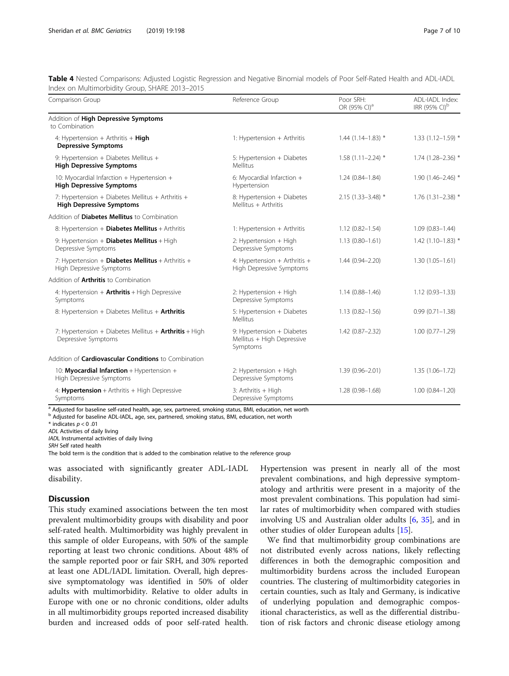<span id="page-6-0"></span>Table 4 Nested Comparisons: Adjusted Logistic Regression and Negative Binomial models of Poor Self-Rated Health and ADL-IADL Index on Multimorbidity Group, SHARE 2013–2015

| Comparison Group                                                                     | Reference Group                                                      | Poor SRH:<br>OR (95% CI) <sup>a</sup> | ADL-IADL Index:<br>IRR (95% CI) <sup>b</sup> |
|--------------------------------------------------------------------------------------|----------------------------------------------------------------------|---------------------------------------|----------------------------------------------|
| Addition of High Depressive Symptoms<br>to Combination                               |                                                                      |                                       |                                              |
| 4: Hypertension + Arthritis + $High$<br><b>Depressive Symptoms</b>                   | 1: Hypertension + Arthritis                                          | $1.44(1.14 - 1.83)$ *                 | $1.33(1.12 - 1.59)$ *                        |
| 9: Hypertension + Diabetes Mellitus +<br><b>High Depressive Symptoms</b>             | 5: Hypertension + Diabetes<br>Mellitus                               | $1.58(1.11 - 2.24)$ *                 | $1.74(1.28 - 2.36)$ *                        |
| 10: Myocardial Infarction + Hypertension +<br><b>High Depressive Symptoms</b>        | 6: Myocardial Infarction +<br>Hypertension                           | $1.24(0.84 - 1.84)$                   | $1.90(1.46 - 2.46)$ *                        |
| 7: Hypertension + Diabetes Mellitus + Arthritis +<br><b>High Depressive Symptoms</b> | 8: Hypertension + Diabetes<br>Mellitus + Arthritis                   | 2.15 (1.33-3.48) *                    | $1.76$ (1.31-2.38) *                         |
| Addition of <b>Diabetes Mellitus</b> to Combination                                  |                                                                      |                                       |                                              |
| 8: Hypertension + Diabetes Mellitus + Arthritis                                      | 1: Hypertension + Arthritis                                          | $1.12(0.82 - 1.54)$                   | $1.09(0.83 - 1.44)$                          |
| 9: Hypertension $+$ Diabetes Mellitus $+$ High<br>Depressive Symptoms                | 2: Hypertension + High<br>Depressive Symptoms                        | $1.13(0.80 - 1.61)$                   | $1.42$ (1.10-1.83) *                         |
| 7: Hypertension + Diabetes Mellitus + Arthritis +<br>High Depressive Symptoms        | 4: Hypertension + Arthritis +<br>High Depressive Symptoms            | $1.44(0.94 - 2.20)$                   | $1.30(1.05 - 1.61)$                          |
| Addition of <b>Arthritis</b> to Combination                                          |                                                                      |                                       |                                              |
| 4: Hypertension + $Arthritis + High Depressive$<br>Symptoms                          | 2: Hypertension + High<br>Depressive Symptoms                        | $1.14(0.88 - 1.46)$                   | $1.12(0.93 - 1.33)$                          |
| 8: Hypertension + Diabetes Mellitus + Arthritis                                      | 5: Hypertension + Diabetes<br>Mellitus                               | $1.13(0.82 - 1.56)$                   | $0.99(0.71 - 1.38)$                          |
| 7: Hypertension + Diabetes Mellitus + $Arthritis$ + High<br>Depressive Symptoms      | 9: Hypertension + Diabetes<br>Mellitus + High Depressive<br>Symptoms | $1.42(0.87 - 2.32)$                   | $1.00(0.77 - 1.29)$                          |
| Addition of <b>Cardiovascular Conditions</b> to Combination                          |                                                                      |                                       |                                              |
| 10: <b>Myocardial Infarction</b> + Hypertension +<br>High Depressive Symptoms        | 2: Hypertension + High<br>Depressive Symptoms                        | $1.39(0.96 - 2.01)$                   | $1.35(1.06 - 1.72)$                          |
| 4: <b>Hypertension</b> + Arthritis + High Depressive<br>Symptoms                     | 3: Arthritis + High<br>Depressive Symptoms                           | $1.28(0.98 - 1.68)$                   | $1.00(0.84 - 1.20)$                          |

a Adjusted for baseline self-rated health, age, sex, partnered, smoking status, BMI, education, net worth

<sup>b</sup> Adjusted for baseline ADL-IADL, age, sex, partnered, smoking status, BMI, education, net worth

 $*$  indicates  $p < 0.01$ 

ADL Activities of daily living

IADL Instrumental activities of daily living SRH Self rated health

The bold term is the condition that is added to the combination relative to the reference group

was associated with significantly greater ADL-IADL disability.

# Discussion

This study examined associations between the ten most prevalent multimorbidity groups with disability and poor self-rated health. Multimorbidity was highly prevalent in this sample of older Europeans, with 50% of the sample reporting at least two chronic conditions. About 48% of the sample reported poor or fair SRH, and 30% reported at least one ADL/IADL limitation. Overall, high depressive symptomatology was identified in 50% of older adults with multimorbidity. Relative to older adults in Europe with one or no chronic conditions, older adults in all multimorbidity groups reported increased disability burden and increased odds of poor self-rated health.

Hypertension was present in nearly all of the most prevalent combinations, and high depressive symptomatology and arthritis were present in a majority of the most prevalent combinations. This population had similar rates of multimorbidity when compared with studies involving US and Australian older adults [\[6](#page-8-0), [35\]](#page-9-0), and in other studies of older European adults [[15\]](#page-8-0).

We find that multimorbidity group combinations are not distributed evenly across nations, likely reflecting differences in both the demographic composition and multimorbidity burdens across the included European countries. The clustering of multimorbidity categories in certain counties, such as Italy and Germany, is indicative of underlying population and demographic compositional characteristics, as well as the differential distribution of risk factors and chronic disease etiology among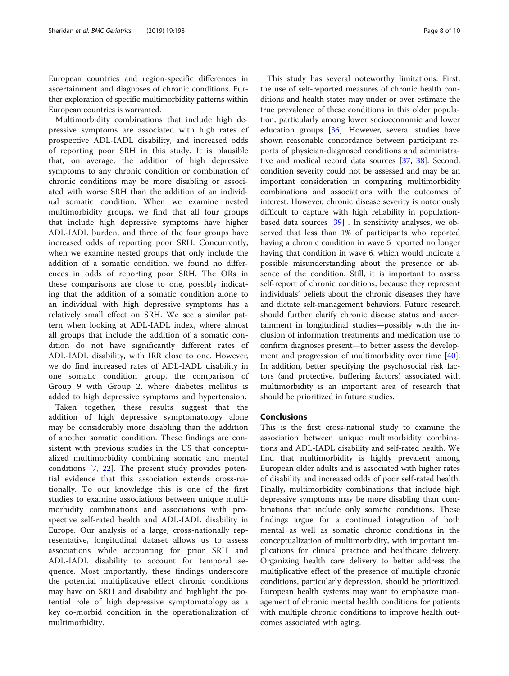European countries and region-specific differences in ascertainment and diagnoses of chronic conditions. Further exploration of specific multimorbidity patterns within European countries is warranted.

Multimorbidity combinations that include high depressive symptoms are associated with high rates of prospective ADL-IADL disability, and increased odds of reporting poor SRH in this study. It is plausible that, on average, the addition of high depressive symptoms to any chronic condition or combination of chronic conditions may be more disabling or associated with worse SRH than the addition of an individual somatic condition. When we examine nested multimorbidity groups, we find that all four groups that include high depressive symptoms have higher ADL-IADL burden, and three of the four groups have increased odds of reporting poor SRH. Concurrently, when we examine nested groups that only include the addition of a somatic condition, we found no differences in odds of reporting poor SRH. The ORs in these comparisons are close to one, possibly indicating that the addition of a somatic condition alone to an individual with high depressive symptoms has a relatively small effect on SRH. We see a similar pattern when looking at ADL-IADL index, where almost all groups that include the addition of a somatic condition do not have significantly different rates of ADL-IADL disability, with IRR close to one. However, we do find increased rates of ADL-IADL disability in one somatic condition group, the comparison of Group 9 with Group 2, where diabetes mellitus is added to high depressive symptoms and hypertension.

Taken together, these results suggest that the addition of high depressive symptomatology alone may be considerably more disabling than the addition of another somatic condition. These findings are consistent with previous studies in the US that conceptualized multimorbidity combining somatic and mental conditions [\[7](#page-8-0), [22\]](#page-8-0). The present study provides potential evidence that this association extends cross-nationally. To our knowledge this is one of the first studies to examine associations between unique multimorbidity combinations and associations with prospective self-rated health and ADL-IADL disability in Europe. Our analysis of a large, cross-nationally representative, longitudinal dataset allows us to assess associations while accounting for prior SRH and ADL-IADL disability to account for temporal sequence. Most importantly, these findings underscore the potential multiplicative effect chronic conditions may have on SRH and disability and highlight the potential role of high depressive symptomatology as a key co-morbid condition in the operationalization of multimorbidity.

This study has several noteworthy limitations. First, the use of self-reported measures of chronic health conditions and health states may under or over-estimate the true prevalence of these conditions in this older population, particularly among lower socioeconomic and lower education groups [\[36](#page-9-0)]. However, several studies have shown reasonable concordance between participant reports of physician-diagnosed conditions and administrative and medical record data sources [[37](#page-9-0), [38\]](#page-9-0). Second, condition severity could not be assessed and may be an important consideration in comparing multimorbidity combinations and associations with the outcomes of interest. However, chronic disease severity is notoriously difficult to capture with high reliability in populationbased data sources  $[39]$  $[39]$ . In sensitivity analyses, we observed that less than 1% of participants who reported having a chronic condition in wave 5 reported no longer having that condition in wave 6, which would indicate a possible misunderstanding about the presence or absence of the condition. Still, it is important to assess self-report of chronic conditions, because they represent individuals' beliefs about the chronic diseases they have and dictate self-management behaviors. Future research should further clarify chronic disease status and ascertainment in longitudinal studies—possibly with the inclusion of information treatments and medication use to confirm diagnoses present—to better assess the development and progression of multimorbidity over time [\[40](#page-9-0)]. In addition, better specifying the psychosocial risk factors (and protective, buffering factors) associated with multimorbidity is an important area of research that should be prioritized in future studies.

# Conclusions

This is the first cross-national study to examine the association between unique multimorbidity combinations and ADL-IADL disability and self-rated health. We find that multimorbidity is highly prevalent among European older adults and is associated with higher rates of disability and increased odds of poor self-rated health. Finally, multimorbidity combinations that include high depressive symptoms may be more disabling than combinations that include only somatic conditions. These findings argue for a continued integration of both mental as well as somatic chronic conditions in the conceptualization of multimorbidity, with important implications for clinical practice and healthcare delivery. Organizing health care delivery to better address the multiplicative effect of the presence of multiple chronic conditions, particularly depression, should be prioritized. European health systems may want to emphasize management of chronic mental health conditions for patients with multiple chronic conditions to improve health outcomes associated with aging.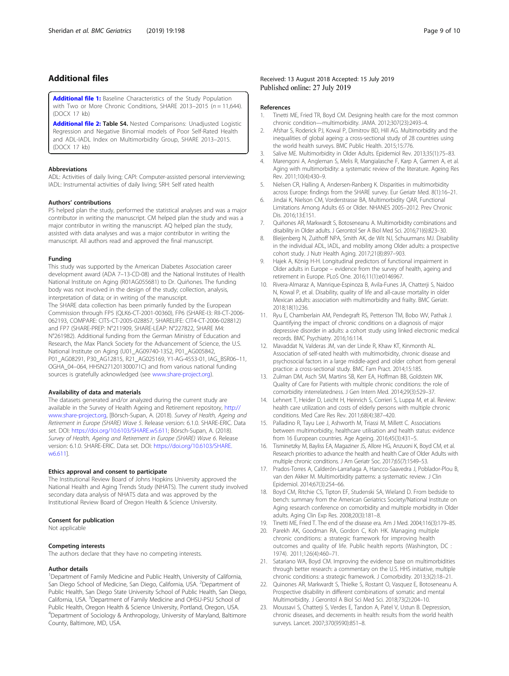# <span id="page-8-0"></span>Additional files

[Additional file 1:](https://doi.org/10.1186/s12877-019-1214-z) Baseline Characteristics of the Study Population with Two or More Chronic Conditions, SHARE 2013–2015 ( $n = 11,644$ ). (DOCX 17 kb)

[Additional file 2:](https://doi.org/10.1186/s12877-019-1214-z) Table S4. Nested Comparisons: Unadjusted Logistic Regression and Negative Binomial models of Poor Self-Rated Health and ADL-IADL Index on Multimorbidity Group, SHARE 2013–2015. (DOCX 17 kb)

# Abbreviations

ADL: Activities of daily living; CAPI: Computer-assisted personal interviewing; IADL: Instrumental activities of daily living; SRH: Self rated health

# Authors' contributions

PS helped plan the study, performed the statistical analyses and was a major contributor in writing the manuscript. CM helped plan the study and was a major contributor in writing the manuscript. AQ helped plan the study, assisted with data analyses and was a major contributor in writing the manuscript. All authors read and approved the final manuscript.

#### Funding

This study was supported by the American Diabetes Association career development award (ADA 7–13-CD-08) and the National Institutes of Health National Institute on Aging (R01AG055681) to Dr. Quiñones. The funding body was not involved in the design of the study; collection, analysis, interpretation of data; or in writing of the manuscript. The SHARE data collection has been primarily funded by the European Commission through FP5 (QLK6-CT-2001-00360), FP6 (SHARE-I3: RII-CT-2006- 062193, COMPARE: CIT5-CT-2005-028857, SHARELIFE: CIT4-CT-2006-028812) and FP7 (SHARE-PREP: N°211909, SHARE-LEAP: N°227822, SHARE M4: N°261982). Additional funding from the German Ministry of Education and Research, the Max Planck Society for the Advancement of Science, the U.S. National Institute on Aging (U01\_AG09740-13S2, P01\_AG005842, P01\_AG08291, P30\_AG12815, R21\_AG025169, Y1-AG-4553-01, IAG\_BSR06–11, OGHA\_04–064, HHSN271201300071C) and from various national funding sources is gratefully acknowledged (see [www.share-project.org](http://www.share-project.org/)).

# Availability of data and materials

The datasets generated and/or analyzed during the current study are available in the Survey of Health Ageing and Retirement repository, [http://](http://www.share-project.org) [www.share-project.org,](http://www.share-project.org) [Börsch-Supan, A. (2018). Survey of Health, Ageing and Retirement in Europe (SHARE) Wave 5. Release version: 6.1.0. SHARE-ERIC. Data set. DOI: [https://doi.org/10.6103/SHARE.w5.611;](https://doi.org/10.6103/SHARE.w5.611) Börsch-Supan, A. (2018). Survey of Health, Ageing and Retirement in Europe (SHARE) Wave 6. Release version: 6.1.0. SHARE-ERIC. Data set. DOI: [https://doi.org/10.6103/SHARE.](https://doi.org/10.6103/SHARE.w6.611) [w6.611\]](https://doi.org/10.6103/SHARE.w6.611).

#### Ethics approval and consent to participate

The Institutional Review Board of Johns Hopkins University approved the National Health and Aging Trends Study (NHATS). The current study involved secondary data analysis of NHATS data and was approved by the Institutional Review Board of Oregon Health & Science University.

# Consent for publication

Not applicable

# Competing interests

The authors declare that they have no competing interests.

## Author details

<sup>1</sup>Department of Family Medicine and Public Health, University of California, San Diego School of Medicine, San Diego, California, USA. <sup>2</sup>Department of Public Health, San Diego State University School of Public Health, San Diego, California, USA. <sup>3</sup>Department of Family Medicine and OHSU-PSU School of Public Health, Oregon Health & Science University, Portland, Oregon, USA. 4 Department of Sociology & Anthropology, University of Maryland, Baltimore County, Baltimore, MD, USA.

#### References

- 1. Tinetti ME, Fried TR, Boyd CM. Designing health care for the most common chronic condition—multimorbidity. JAMA. 2012;307(23):2493–4.
- 2. Afshar S, Roderick PJ, Kowal P, Dimitrov BD, Hill AG. Multimorbidity and the inequalities of global ageing: a cross-sectional study of 28 countries using the world health surveys. BMC Public Health. 2015;15:776.
- 3. Salive ME. Multimorbidity in Older Adults. Epidemiol Rev. 2013;35(1):75–83.
- 4. Marengoni A, Angleman S, Melis R, Mangialasche F, Karp A, Garmen A, et al. Aging with multimorbidity: a systematic review of the literature. Ageing Res Rev. 2011;10(4):430–9.
- 5. Nielsen CR, Halling A, Andersen-Ranberg K. Disparities in multimorbidity across Europe: findings from the SHARE survey. Eur Geriatr Med. 8(1):16–21.
- 6. Jindai K, Nielson CM, Vorderstrasse BA, Multimorbidity QAR, Functional Limitations Among Adults 65 or Older. NHANES 2005–2012. Prev Chronic Dis. 2016;13:E151.
- 7. Quiñones AR, Markwardt S, Botoseneanu A. Multimorbidity combinations and disability in Older adults. J Gerontol Ser A Biol Med Sci. 2016;71(6):823–30.
- 8. Bleijenberg N, Zuithoff NPA, Smith AK, de Wit NJ, Schuurmans MJ. Disability in the individual ADL, IADL, and mobility among Older adults: a prospective cohort study. J Nutr Health Aging. 2017;21(8):897–903.
- 9. Hajek A, König H-H. Longitudinal predictors of functional impairment in Older adults in Europe – evidence from the survey of health, ageing and retirement in Europe. PLoS One. 2016;11(1):e0146967.
- 10. Rivera-Almaraz A, Manrique-Espinoza B, Avila-Funes JA, Chatterji S, Naidoo N, Kowal P, et al. Disability, quality of life and all-cause mortality in older Mexican adults: association with multimorbidity and frailty. BMC Geriatr. 2018;18(1):236.
- 11. Ryu E, Chamberlain AM, Pendegraft RS, Petterson TM, Bobo WV, Pathak J. Quantifying the impact of chronic conditions on a diagnosis of major depressive disorder in adults: a cohort study using linked electronic medical records. BMC Psychiatry. 2016;16:114.
- 12. Mavaddat N, Valderas JM, van der Linde R, Khaw KT, Kinmonth AL. Association of self-rated health with multimorbidity, chronic disease and psychosocial factors in a large middle-aged and older cohort from general practice: a cross-sectional study. BMC Fam Pract. 2014;15:185.
- 13. Zulman DM, Asch SM, Martins SB, Kerr EA, Hoffman BB, Goldstein MK. Quality of Care for Patients with multiple chronic conditions: the role of comorbidity interrelatedness. J Gen Intern Med. 2014;29(3):529–37.
- 14. Lehnert T, Heider D, Leicht H, Heinrich S, Corrieri S, Luppa M, et al. Review: health care utilization and costs of elderly persons with multiple chronic conditions. Med Care Res Rev. 2011;68(4):387–420.
- 15. Palladino R, Tayu Lee J, Ashworth M, Triassi M, Millett C. Associations between multimorbidity, healthcare utilisation and health status: evidence from 16 European countries. Age Ageing. 2016;45(3):431–5.
- 16. Tisminetzky M, Bayliss EA, Magaziner JS, Allore HG, Anzuoni K, Boyd CM, et al. Research priorities to advance the health and health Care of Older Adults with multiple chronic conditions. J Am Geriatr Soc. 2017;65(7):1549–53.
- 17. Prados-Torres A, Calderón-Larrañaga A, Hancco-Saavedra J, Poblador-Plou B, van den Akker M. Multimorbidity patterns: a systematic review. J Clin Epidemiol. 2014;67(3):254–66.
- 18. Boyd CM, Ritchie CS, Tipton EF, Studenski SA, Wieland D. From bedside to bench: summary from the American Geriatrics Society/National Institute on Aging research conference on comorbidity and multiple morbidity in Older adults. Aging Clin Exp Res. 2008;20(3):181–8.
- 19. Tinetti ME, Fried T. The end of the disease era. Am J Med. 2004;116(3):179–85.
- 20. Parekh AK, Goodman RA, Gordon C, Koh HK. Managing multiple chronic conditions: a strategic framework for improving health outcomes and quality of life. Public health reports (Washington, DC : 1974). 2011;126(4):460–71.
- 21. Satariano WA, Boyd CM. Improving the evidence base on multimorbidities through better research: a commentary on the U.S. HHS initiative, multiple chronic conditions: a strategic framework. J Comorbidity. 2013;3(2):18–21.
- 22. Quinones AR, Markwardt S, Thielke S, Rostant O, Vasquez E, Botoseneanu A. Prospective disability in different combinations of somatic and mental Multimorbidity. J Gerontol A Biol Sci Med Sci. 2018;73(2):204–10.
- 23. Moussavi S, Chatterji S, Verdes E, Tandon A, Patel V, Ustun B. Depression, chronic diseases, and decrements in health: results from the world health surveys. Lancet. 2007;370(9590):851–8.